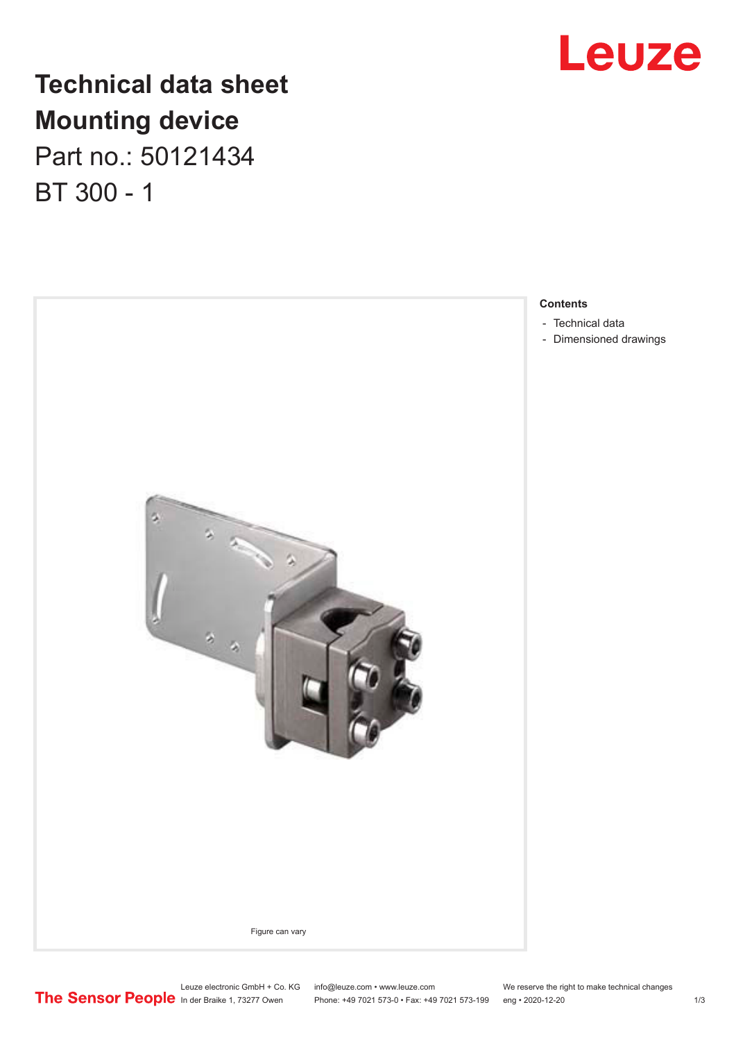

## **Technical data sheet Mounting device**

Part no.: 50121434 BT 300 - 1



**Contents**

- 
- [Dimensioned drawings](#page-2-0)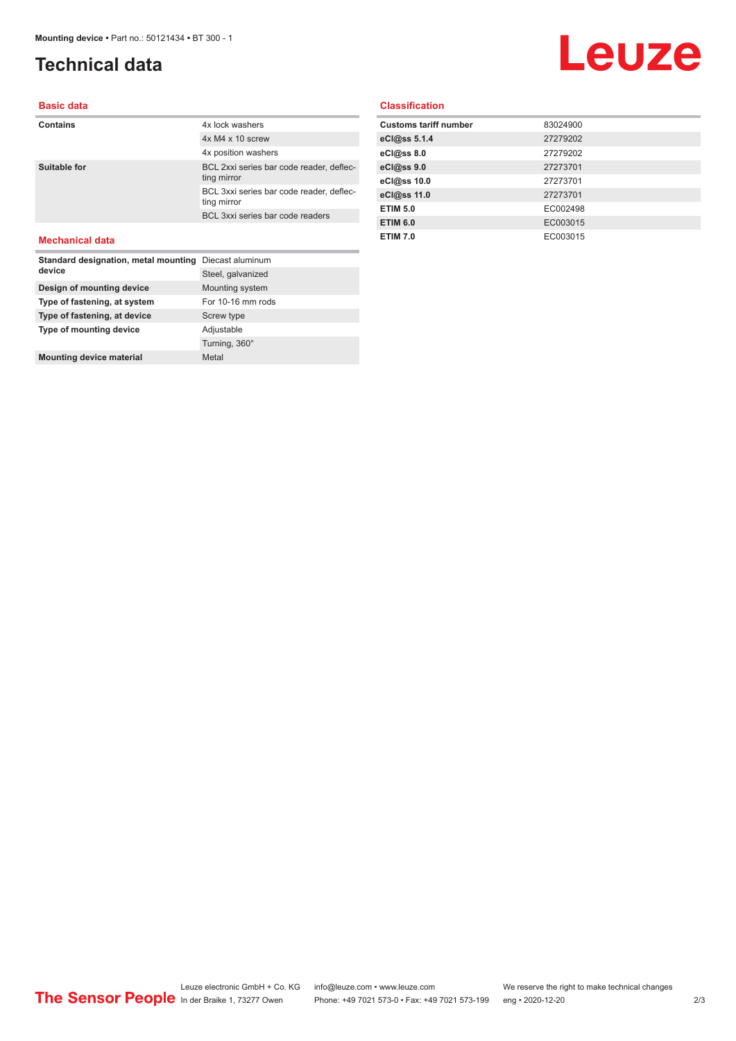**Mounting device material Metal Metal** 

### <span id="page-1-0"></span>**Technical data**

# Leuze

**Basic data**

#### **Contains** 4x lock washers 4x M4 x 10 screw 4x position washers **Suitable for** BCL 2xxi series bar code reader, deflecting mirror BCL 3xxi series bar code reader, deflecting mirror BCL 3xxi series bar code readers **Mechanical data Standard designation, metal mounting**  Diecast aluminum **device** Steel, galvanized **Design of mounting device** Mounting system **Type of fastening, at system** For 10-16 mm rods **Type of fastening, at device** Screw type **Type of mounting device** Adjustable

Turning, 360°

#### **Classification**

| <b>Customs tariff number</b> | 83024900 |
|------------------------------|----------|
| eCl@ss 5.1.4                 | 27279202 |
| eCl@ss 8.0                   | 27279202 |
| eCl@ss 9.0                   | 27273701 |
| eCl@ss 10.0                  | 27273701 |
| eCl@ss 11.0                  | 27273701 |
| <b>ETIM 5.0</b>              | EC002498 |
| <b>ETIM 6.0</b>              | EC003015 |
| <b>ETIM 7.0</b>              | EC003015 |